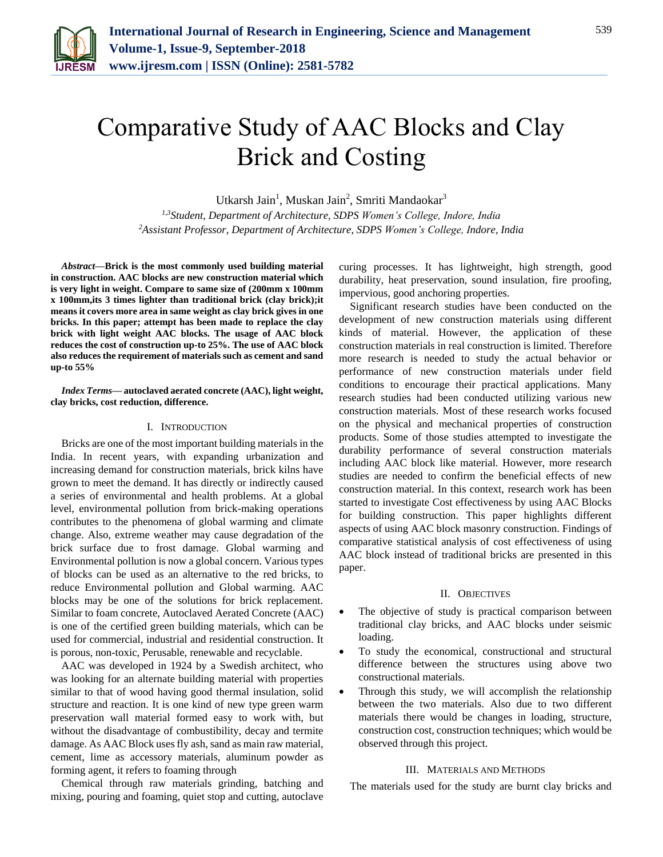

# Comparative Study of AAC Blocks and Clay Brick and Costing

Utkarsh Jain<sup>1</sup>, Muskan Jain<sup>2</sup>, Smriti Mandaokar<sup>3</sup>

*1,3Student, Department of Architecture, SDPS Women's College, Indore, India <sup>2</sup>Assistant Professor, Department of Architecture, SDPS Women's College, Indore, India*

*Abstract***—Brick is the most commonly used building material in construction. AAC blocks are new construction material which is very light in weight. Compare to same size of (200mm x 100mm x 100mm,its 3 times lighter than traditional brick (clay brick);it means it covers more area in same weight as clay brick gives in one bricks. In this paper; attempt has been made to replace the clay brick with light weight AAC blocks. The usage of AAC block reduces the cost of construction up-to 25%. The use of AAC block also reduces the requirement of materials such as cement and sand up-to 55%**

*Index Terms***— autoclaved aerated concrete (AAC), light weight, clay bricks, cost reduction, difference.**

#### I. INTRODUCTION

Bricks are one of the most important building materials in the India. In recent years, with expanding urbanization and increasing demand for construction materials, brick kilns have grown to meet the demand. It has directly or indirectly caused a series of environmental and health problems. At a global level, environmental pollution from brick-making operations contributes to the phenomena of global warming and climate change. Also, extreme weather may cause degradation of the brick surface due to frost damage. Global warming and Environmental pollution is now a global concern. Various types of blocks can be used as an alternative to the red bricks, to reduce Environmental pollution and Global warming. AAC blocks may be one of the solutions for brick replacement. Similar to foam concrete, Autoclaved Aerated Concrete (AAC) is one of the certified green building materials, which can be used for commercial, industrial and residential construction. It is porous, non-toxic, Perusable, renewable and recyclable.

AAC was developed in 1924 by a Swedish architect, who was looking for an alternate building material with properties similar to that of wood having good thermal insulation, solid structure and reaction. It is one kind of new type green warm preservation wall material formed easy to work with, but without the disadvantage of combustibility, decay and termite damage. As AAC Block uses fly ash, sand as main raw material, cement, lime as accessory materials, aluminum powder as forming agent, it refers to foaming through

Chemical through raw materials grinding, batching and mixing, pouring and foaming, quiet stop and cutting, autoclave

curing processes. It has lightweight, high strength, good durability, heat preservation, sound insulation, fire proofing, impervious, good anchoring properties.

Significant research studies have been conducted on the development of new construction materials using different kinds of material. However, the application of these construction materials in real construction is limited. Therefore more research is needed to study the actual behavior or performance of new construction materials under field conditions to encourage their practical applications. Many research studies had been conducted utilizing various new construction materials. Most of these research works focused on the physical and mechanical properties of construction products. Some of those studies attempted to investigate the durability performance of several construction materials including AAC block like material. However, more research studies are needed to confirm the beneficial effects of new construction material. In this context, research work has been started to investigate Cost effectiveness by using AAC Blocks for building construction. This paper highlights different aspects of using AAC block masonry construction. Findings of comparative statistical analysis of cost effectiveness of using AAC block instead of traditional bricks are presented in this paper.

#### II. OBJECTIVES

- The objective of study is practical comparison between traditional clay bricks, and AAC blocks under seismic loading.
- To study the economical, constructional and structural difference between the structures using above two constructional materials.
- Through this study, we will accomplish the relationship between the two materials. Also due to two different materials there would be changes in loading, structure, construction cost, construction techniques; which would be observed through this project.

#### III. MATERIALS AND METHODS

The materials used for the study are burnt clay bricks and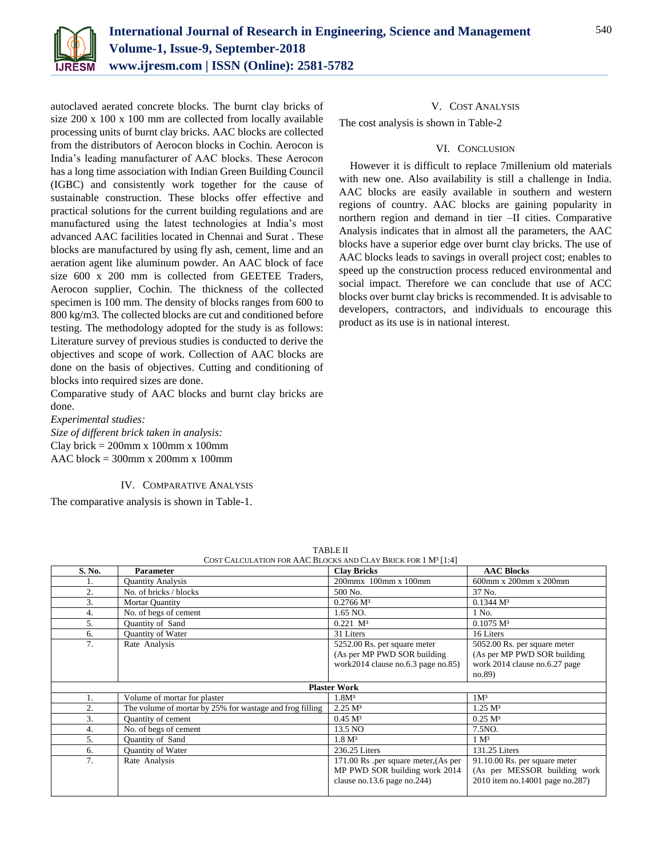

autoclaved aerated concrete blocks. The burnt clay bricks of size 200 x 100 x 100 mm are collected from locally available processing units of burnt clay bricks. AAC blocks are collected from the distributors of Aerocon blocks in Cochin. Aerocon is India's leading manufacturer of AAC blocks. These Aerocon has a long time association with Indian Green Building Council (IGBC) and consistently work together for the cause of sustainable construction. These blocks offer effective and practical solutions for the current building regulations and are manufactured using the latest technologies at India's most advanced AAC facilities located in Chennai and Surat . These blocks are manufactured by using fly ash, cement, lime and an aeration agent like aluminum powder. An AAC block of face size 600 x 200 mm is collected from GEETEE Traders, Aerocon supplier, Cochin. The thickness of the collected specimen is 100 mm. The density of blocks ranges from 600 to 800 kg/m3. The collected blocks are cut and conditioned before testing. The methodology adopted for the study is as follows: Literature survey of previous studies is conducted to derive the objectives and scope of work. Collection of AAC blocks are done on the basis of objectives. Cutting and conditioning of blocks into required sizes are done.

Comparative study of AAC blocks and burnt clay bricks are done.

*Experimental studies:*

*Size of different brick taken in analysis:* Clay brick =  $200$ mm x 100mm x 100mm AAC block = 300mm x 200mm x 100mm

### IV. COMPARATIVE ANALYSIS

The comparative analysis is shown in Table-1.

## V. COST ANALYSIS

The cost analysis is shown in Table-2

## VI. CONCLUSION

However it is difficult to replace 7millenium old materials with new one. Also availability is still a challenge in India. AAC blocks are easily available in southern and western regions of country. AAC blocks are gaining popularity in northern region and demand in tier –II cities. Comparative Analysis indicates that in almost all the parameters, the AAC blocks have a superior edge over burnt clay bricks. The use of AAC blocks leads to savings in overall project cost; enables to speed up the construction process reduced environmental and social impact. Therefore we can conclude that use of ACC blocks over burnt clay bricks is recommended. It is advisable to developers, contractors, and individuals to encourage this product as its use is in national interest.

| S. No.              | <b>Parameter</b>                                         | <b>Clay Bricks</b>                                                                                   | <b>AAC Blocks</b>                                                                                      |  |
|---------------------|----------------------------------------------------------|------------------------------------------------------------------------------------------------------|--------------------------------------------------------------------------------------------------------|--|
| ı.                  | <b>Quantity Analysis</b>                                 | 200mmx 100mm x 100mm                                                                                 | 600mm x 200mm x 200mm                                                                                  |  |
| 2.                  | No. of bricks / blocks                                   | 500 No.                                                                                              | 37 No.                                                                                                 |  |
| 3.                  | <b>Mortar Quantity</b>                                   | 0.2766 M <sup>3</sup>                                                                                | 0.1344 M <sup>3</sup>                                                                                  |  |
| 4.                  | No. of begs of cement                                    | 1.65 NO.                                                                                             | 1 No.                                                                                                  |  |
| 5.                  | Quantity of Sand                                         | $0.221$ $M^3$                                                                                        | $0.1075 \text{ M}^3$                                                                                   |  |
| 6.                  | Quantity of Water                                        | 31 Liters                                                                                            | 16 Liters                                                                                              |  |
| 7.                  | Rate Analysis                                            | 5252.00 Rs. per square meter<br>(As per MP PWD SOR building<br>work2014 clause no.6.3 page no.85)    | 5052.00 Rs. per square meter<br>(As per MP PWD SOR building<br>work 2014 clause no.6.27 page<br>no.89) |  |
| <b>Plaster Work</b> |                                                          |                                                                                                      |                                                                                                        |  |
| 1.                  | Volume of mortar for plaster                             | 1.8M <sup>3</sup>                                                                                    | 1M <sup>3</sup>                                                                                        |  |
| 2.                  | The volume of mortar by 25% for wastage and frog filling | 2.25 M <sup>3</sup>                                                                                  | $1.25 \text{ M}^3$                                                                                     |  |
| 3.                  | Quantity of cement                                       | 0.45 M <sup>3</sup>                                                                                  | 0.25 M <sup>3</sup>                                                                                    |  |
| 4.                  | No. of begs of cement                                    | 13.5 NO                                                                                              | 7.5NO.                                                                                                 |  |
| 5.                  | Quantity of Sand                                         | 1.8 M <sup>3</sup>                                                                                   | 1 M <sup>3</sup>                                                                                       |  |
| 6.                  | Quantity of Water                                        | 236.25 Liters                                                                                        | 131.25 Liters                                                                                          |  |
| 7.                  | Rate Analysis                                            | 171.00 Rs .per square meter, (As per<br>MP PWD SOR building work 2014<br>clause no.13.6 page no.244) | 91.10.00 Rs. per square meter<br>(As per MESSOR building work<br>2010 item no.14001 page no.287)       |  |

TABLE II  $CDs$  causum  $Cs$  is Described 1 M<sup>2 [1:4]</sup>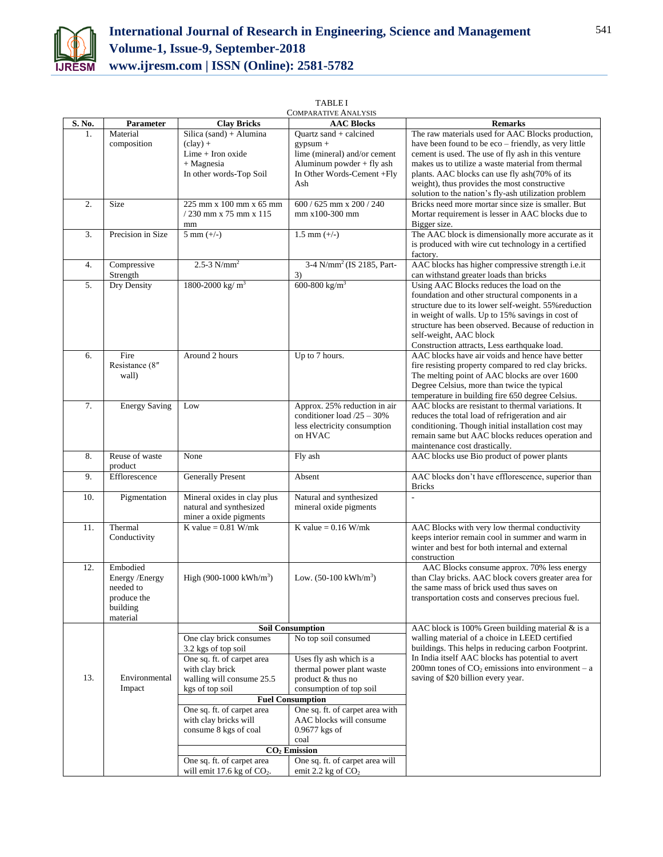

| S. No. | Parameter                | <b>Clay Bricks</b>                                         | <b>AAC Blocks</b>                                       | <b>Remarks</b>                                                                                           |
|--------|--------------------------|------------------------------------------------------------|---------------------------------------------------------|----------------------------------------------------------------------------------------------------------|
| 1.     | Material                 | Silica (sand) + Alumina                                    | Ouartz sand $+$ calcined                                | The raw materials used for AAC Blocks production,                                                        |
|        | composition              | $clay) +$                                                  | $gypsum +$                                              | have been found to be eco – friendly, as very little                                                     |
|        |                          | $Lime + Iron$ oxide                                        | lime (mineral) and/or cement                            | cement is used. The use of fly ash in this venture                                                       |
|        |                          | $+$ Magnesia                                               | Aluminum powder + fly ash                               | makes us to utilize a waste material from thermal                                                        |
|        |                          | In other words-Top Soil                                    | In Other Words-Cement +Fly<br>Ash                       | plants. AAC blocks can use fly ash(70% of its)                                                           |
|        |                          |                                                            |                                                         | weight), thus provides the most constructive<br>solution to the nation's fly-ash utilization problem     |
| 2.     | Size                     | 225 mm x 100 mm x 65 mm                                    | 600 / 625 mm x 200 / 240                                | Bricks need more mortar since size is smaller. But                                                       |
|        |                          | $/230$ mm x 75 mm x 115                                    | mm x100-300 mm                                          | Mortar requirement is lesser in AAC blocks due to                                                        |
|        |                          | mm                                                         |                                                         | Bigger size.                                                                                             |
| 3.     | Precision in Size        | $5 \text{ mm } (+/-)$                                      | $1.5$ mm $(+/-)$                                        | The AAC block is dimensionally more accurate as it                                                       |
|        |                          |                                                            |                                                         | is produced with wire cut technology in a certified<br>factory.                                          |
| 4.     | Compressive              | $2.5 - 3$ N/mm <sup>2</sup>                                | 3-4 N/mm <sup>2</sup> (IS 2185, Part-                   | AAC blocks has higher compressive strength i.e.it                                                        |
|        | Strength                 |                                                            | 3)                                                      | can withstand greater loads than bricks                                                                  |
| 5.     | Dry Density              | 1800-2000 kg/ $m^3$                                        | 600-800 kg/m <sup>3</sup>                               | Using AAC Blocks reduces the load on the                                                                 |
|        |                          |                                                            |                                                         | foundation and other structural components in a                                                          |
|        |                          |                                                            |                                                         | structure due to its lower self-weight. 55% reduction                                                    |
|        |                          |                                                            |                                                         | in weight of walls. Up to 15% savings in cost of<br>structure has been observed. Because of reduction in |
|        |                          |                                                            |                                                         | self-weight, AAC block                                                                                   |
|        |                          |                                                            |                                                         | Construction attracts, Less earthquake load.                                                             |
| 6.     | Fire                     | Around 2 hours                                             | Up to 7 hours.                                          | AAC blocks have air voids and hence have better                                                          |
|        | Resistance (8"           |                                                            |                                                         | fire resisting property compared to red clay bricks.                                                     |
|        | wall)                    |                                                            |                                                         | The melting point of AAC blocks are over 1600                                                            |
|        |                          |                                                            |                                                         | Degree Celsius, more than twice the typical                                                              |
| 7.     | <b>Energy Saving</b>     | Low                                                        | Approx. 25% reduction in air                            | temperature in building fire 650 degree Celsius.<br>AAC blocks are resistant to thermal variations. It   |
|        |                          |                                                            | conditioner load $/25 - 30\%$                           | reduces the total load of refrigeration and air                                                          |
|        |                          |                                                            | less electricity consumption                            | conditioning. Though initial installation cost may                                                       |
|        |                          |                                                            | on HVAC                                                 | remain same but AAC blocks reduces operation and                                                         |
|        |                          |                                                            |                                                         | maintenance cost drastically.                                                                            |
| 8.     | Reuse of waste           | None                                                       | Fly ash                                                 | AAC blocks use Bio product of power plants                                                               |
| 9.     | product<br>Efflorescence | <b>Generally Present</b>                                   | Absent                                                  | AAC blocks don't have efflorescence, superior than                                                       |
|        |                          |                                                            |                                                         | <b>Bricks</b>                                                                                            |
| 10.    | Pigmentation             | Mineral oxides in clay plus                                | Natural and synthesized                                 | $\overline{a}$                                                                                           |
|        |                          | natural and synthesized                                    | mineral oxide pigments                                  |                                                                                                          |
|        |                          | miner a oxide pigments                                     |                                                         |                                                                                                          |
| 11.    | Thermal                  | K value = $0.81$ W/mk                                      | K value = $0.16$ W/mk                                   | AAC Blocks with very low thermal conductivity                                                            |
|        | Conductivity             |                                                            |                                                         | keeps interior remain cool in summer and warm in<br>winter and best for both internal and external       |
|        |                          |                                                            |                                                         | construction                                                                                             |
| 12.    | Embodied                 |                                                            |                                                         | AAC Blocks consume approx. 70% less energy                                                               |
|        | Energy /Energy           | High $(900-1000 \text{ kWh/m}^3)$                          | Low. $(50-100 \text{ kWh/m}^3)$                         | than Clay bricks. AAC block covers greater area for                                                      |
|        | needed to                |                                                            |                                                         | the same mass of brick used thus saves on                                                                |
|        | produce the              |                                                            |                                                         | transportation costs and conserves precious fuel.                                                        |
|        | building<br>material     |                                                            |                                                         |                                                                                                          |
|        |                          | <b>Soil Consumption</b>                                    |                                                         | AAC block is 100% Green building material & is a                                                         |
|        |                          | One clay brick consumes                                    | No top soil consumed                                    | walling material of a choice in LEED certified                                                           |
|        |                          | 3.2 kgs of top soil                                        |                                                         | buildings. This helps in reducing carbon Footprint.                                                      |
|        |                          | One sq. ft. of carpet area                                 | Uses fly ash which is a                                 | In India itself AAC blocks has potential to avert                                                        |
|        |                          | with clay brick                                            | thermal power plant waste                               | 200mn tones of $CO2$ emissions into environment – a                                                      |
| 13.    | Environmental<br>Impact  | walling will consume 25.5                                  | product & thus no                                       | saving of \$20 billion every year.                                                                       |
|        |                          | kgs of top soil                                            | consumption of top soil<br><b>Fuel Consumption</b>      |                                                                                                          |
|        |                          | One sq. ft. of carpet area                                 | One sq. ft. of carpet area with                         |                                                                                                          |
|        |                          | with clay bricks will                                      | AAC blocks will consume                                 |                                                                                                          |
|        |                          | consume 8 kgs of coal                                      | $0.9677$ kgs of                                         |                                                                                                          |
|        |                          |                                                            | coal                                                    |                                                                                                          |
|        |                          | CO <sub>2</sub> Emission                                   |                                                         |                                                                                                          |
|        |                          | One sq. ft. of carpet area<br>will emit 17.6 kg of $CO2$ . | One sq. ft. of carpet area will<br>emit 2.2 kg of $CO2$ |                                                                                                          |
|        |                          |                                                            |                                                         |                                                                                                          |

TABLE I COMPARATIVE ANALYSIS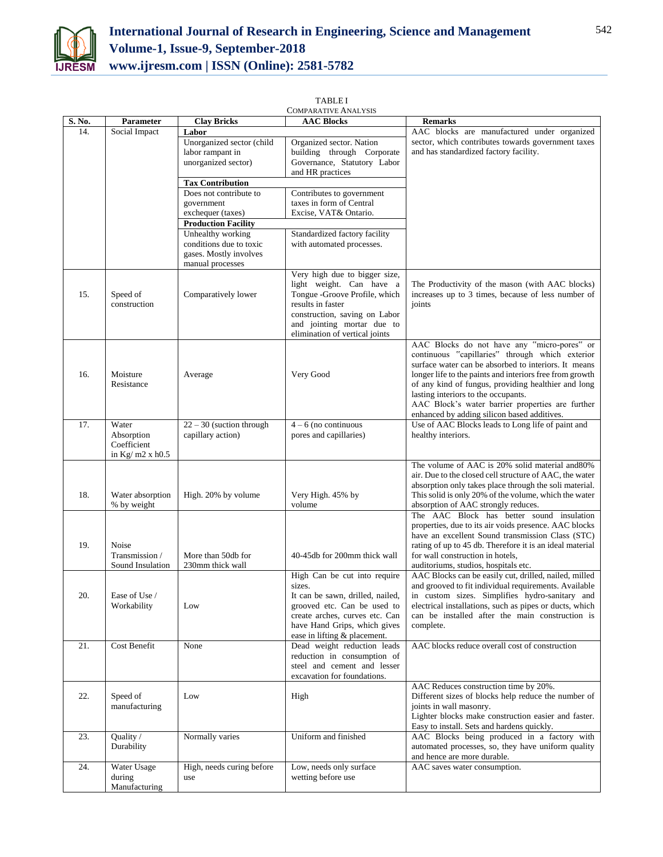

| <b>COMPARATIVE ANALYSIS</b> |                         |                                        |                                  |                                                                                              |
|-----------------------------|-------------------------|----------------------------------------|----------------------------------|----------------------------------------------------------------------------------------------|
| S. No.                      | Parameter               | <b>Clay Bricks</b>                     | <b>AAC Blocks</b>                | <b>Remarks</b>                                                                               |
| 14.                         | Social Impact           | Labor                                  |                                  | AAC blocks are manufactured under organized                                                  |
|                             |                         | Unorganized sector (child              | Organized sector. Nation         | sector, which contributes towards government taxes                                           |
|                             |                         | labor rampant in                       | building through Corporate       | and has standardized factory facility.                                                       |
|                             |                         | unorganized sector)                    | Governance, Statutory Labor      |                                                                                              |
|                             |                         |                                        | and HR practices                 |                                                                                              |
|                             |                         | <b>Tax Contribution</b>                |                                  |                                                                                              |
|                             |                         | Does not contribute to                 | Contributes to government        |                                                                                              |
|                             |                         | government                             | taxes in form of Central         |                                                                                              |
|                             |                         | exchequer (taxes)                      | Excise, VAT& Ontario.            |                                                                                              |
|                             |                         | <b>Production Facility</b>             |                                  |                                                                                              |
|                             |                         | Unhealthy working                      | Standardized factory facility    |                                                                                              |
|                             |                         | conditions due to toxic                | with automated processes.        |                                                                                              |
|                             |                         | gases. Mostly involves                 |                                  |                                                                                              |
|                             |                         | manual processes                       |                                  |                                                                                              |
|                             |                         |                                        | Very high due to bigger size,    |                                                                                              |
|                             |                         |                                        | light weight. Can have a         | The Productivity of the mason (with AAC blocks)                                              |
| 15.                         | Speed of                | Comparatively lower                    | Tongue -Groove Profile, which    | increases up to 3 times, because of less number of                                           |
|                             | construction            |                                        | results in faster                | joints                                                                                       |
|                             |                         |                                        | construction, saving on Labor    |                                                                                              |
|                             |                         |                                        | and jointing mortar due to       |                                                                                              |
|                             |                         |                                        | elimination of vertical joints   |                                                                                              |
|                             |                         |                                        |                                  | AAC Blocks do not have any "micro-pores" or                                                  |
|                             |                         |                                        |                                  | continuous "capillaries" through which exterior                                              |
|                             |                         |                                        |                                  | surface water can be absorbed to interiors. It means                                         |
| 16.                         | Moisture                | Average                                | Very Good                        | longer life to the paints and interiors free from growth                                     |
|                             | Resistance              |                                        |                                  | of any kind of fungus, providing healthier and long                                          |
|                             |                         |                                        |                                  | lasting interiors to the occupants.                                                          |
|                             |                         |                                        |                                  | AAC Block's water barrier properties are further                                             |
|                             |                         |                                        |                                  | enhanced by adding silicon based additives.                                                  |
| 17.                         | Water                   | $22 - 30$ (suction through             | $4 - 6$ (no continuous           | Use of AAC Blocks leads to Long life of paint and                                            |
|                             | Absorption              | capillary action)                      | pores and capillaries)           | healthy interiors.                                                                           |
|                             | Coefficient             |                                        |                                  |                                                                                              |
|                             | in Kg/m2 x h0.5         |                                        |                                  |                                                                                              |
|                             |                         |                                        |                                  | The volume of AAC is 20% solid material and 80%                                              |
|                             |                         |                                        |                                  | air. Due to the closed cell structure of AAC, the water                                      |
|                             |                         |                                        |                                  | absorption only takes place through the soli material.                                       |
| 18.                         | Water absorption        | High. 20% by volume                    | Very High. 45% by                | This solid is only 20% of the volume, which the water                                        |
|                             | % by weight             |                                        | volume                           | absorption of AAC strongly reduces.                                                          |
|                             |                         |                                        |                                  | The AAC Block has better sound insulation                                                    |
|                             |                         |                                        |                                  | properties, due to its air voids presence. AAC blocks                                        |
|                             |                         |                                        |                                  | have an excellent Sound transmission Class (STC)                                             |
| 19.                         | Noise<br>Transmission / |                                        | 40-45db for 200mm thick wall     | rating of up to 45 db. Therefore it is an ideal material<br>for wall construction in hotels, |
|                             | Sound Insulation        | More than 50db for<br>230mm thick wall |                                  | auditoriums, studios, hospitals etc.                                                         |
|                             |                         |                                        | High Can be cut into require     | AAC Blocks can be easily cut, drilled, nailed, milled                                        |
|                             |                         |                                        | sizes.                           | and grooved to fit individual requirements. Available                                        |
| 20.                         | Ease of Use /           |                                        | It can be sawn, drilled, nailed, | in custom sizes. Simplifies hydro-sanitary and                                               |
|                             | Workability             | Low                                    | grooved etc. Can be used to      | electrical installations, such as pipes or ducts, which                                      |
|                             |                         |                                        | create arches, curves etc. Can   | can be installed after the main construction is                                              |
|                             |                         |                                        | have Hand Grips, which gives     | complete.                                                                                    |
|                             |                         |                                        | ease in lifting & placement.     |                                                                                              |
| 21.                         | Cost Benefit            | None                                   | Dead weight reduction leads      | AAC blocks reduce overall cost of construction                                               |
|                             |                         |                                        | reduction in consumption of      |                                                                                              |
|                             |                         |                                        | steel and cement and lesser      |                                                                                              |
|                             |                         |                                        | excavation for foundations.      |                                                                                              |
|                             |                         |                                        |                                  | AAC Reduces construction time by 20%.                                                        |
| 22.                         | Speed of                | Low                                    | High                             | Different sizes of blocks help reduce the number of                                          |
|                             | manufacturing           |                                        |                                  | joints in wall masonry.                                                                      |
|                             |                         |                                        |                                  | Lighter blocks make construction easier and faster.                                          |
|                             |                         |                                        |                                  | Easy to install. Sets and hardens quickly.                                                   |
| 23.                         | Quality /               | Normally varies                        | Uniform and finished             | AAC Blocks being produced in a factory with                                                  |
|                             | Durability              |                                        |                                  | automated processes, so, they have uniform quality                                           |
|                             |                         |                                        |                                  | and hence are more durable.                                                                  |
| 24.                         | Water Usage             | High, needs curing before              | Low, needs only surface          | AAC saves water consumption.                                                                 |
|                             | during                  | use                                    | wetting before use               |                                                                                              |
|                             | Manufacturing           |                                        |                                  |                                                                                              |
|                             |                         |                                        |                                  |                                                                                              |

TABLE I